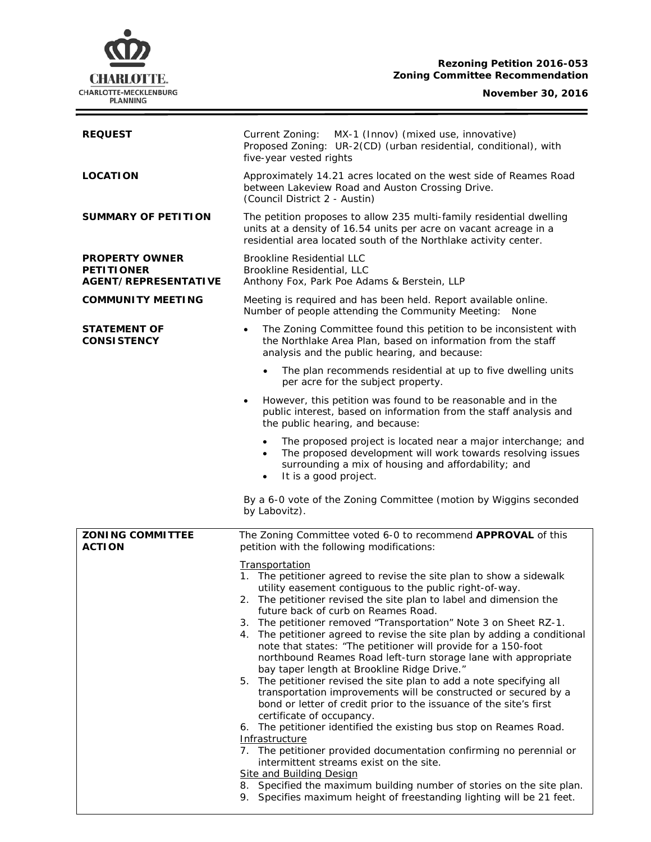# **Rezoning Petition 2016-053 Zoning Committee Recommendation**

# **CHARLOTTE.** CHARLOTTE-MECKLENBURG<br>PLANNING

**November 30, 2016**

 $\equiv$ 

| <b>REQUEST</b>                                                     | Current Zoning:<br>MX-1 (Innov) (mixed use, innovative)<br>Proposed Zoning: UR-2(CD) (urban residential, conditional), with<br>five-year vested rights                                                                                                                                                                                                                                                                                                                                                                                                                                                                                                                                                                                                                                                                                                                                                                                                                                                                                                                                                                                                                                                                                             |  |  |
|--------------------------------------------------------------------|----------------------------------------------------------------------------------------------------------------------------------------------------------------------------------------------------------------------------------------------------------------------------------------------------------------------------------------------------------------------------------------------------------------------------------------------------------------------------------------------------------------------------------------------------------------------------------------------------------------------------------------------------------------------------------------------------------------------------------------------------------------------------------------------------------------------------------------------------------------------------------------------------------------------------------------------------------------------------------------------------------------------------------------------------------------------------------------------------------------------------------------------------------------------------------------------------------------------------------------------------|--|--|
| <b>LOCATION</b>                                                    | Approximately 14.21 acres located on the west side of Reames Road<br>between Lakeview Road and Auston Crossing Drive.<br>(Council District 2 - Austin)                                                                                                                                                                                                                                                                                                                                                                                                                                                                                                                                                                                                                                                                                                                                                                                                                                                                                                                                                                                                                                                                                             |  |  |
| SUMMARY OF PETITION                                                | The petition proposes to allow 235 multi-family residential dwelling<br>units at a density of 16.54 units per acre on vacant acreage in a<br>residential area located south of the Northlake activity center.                                                                                                                                                                                                                                                                                                                                                                                                                                                                                                                                                                                                                                                                                                                                                                                                                                                                                                                                                                                                                                      |  |  |
| <b>PROPERTY OWNER</b><br><b>PETITIONER</b><br>AGENT/REPRESENTATIVE | <b>Brookline Residential LLC</b><br>Brookline Residential, LLC<br>Anthony Fox, Park Poe Adams & Berstein, LLP                                                                                                                                                                                                                                                                                                                                                                                                                                                                                                                                                                                                                                                                                                                                                                                                                                                                                                                                                                                                                                                                                                                                      |  |  |
| <b>COMMUNITY MEETING</b>                                           | Meeting is required and has been held. Report available online.<br>Number of people attending the Community Meeting:<br>None                                                                                                                                                                                                                                                                                                                                                                                                                                                                                                                                                                                                                                                                                                                                                                                                                                                                                                                                                                                                                                                                                                                       |  |  |
| <b>STATEMENT OF</b><br><b>CONSISTENCY</b>                          | The Zoning Committee found this petition to be inconsistent with<br>$\bullet$<br>the Northlake Area Plan, based on information from the staff<br>analysis and the public hearing, and because:                                                                                                                                                                                                                                                                                                                                                                                                                                                                                                                                                                                                                                                                                                                                                                                                                                                                                                                                                                                                                                                     |  |  |
|                                                                    | The plan recommends residential at up to five dwelling units<br>$\bullet$<br>per acre for the subject property.                                                                                                                                                                                                                                                                                                                                                                                                                                                                                                                                                                                                                                                                                                                                                                                                                                                                                                                                                                                                                                                                                                                                    |  |  |
|                                                                    | However, this petition was found to be reasonable and in the<br>٠<br>public interest, based on information from the staff analysis and<br>the public hearing, and because:                                                                                                                                                                                                                                                                                                                                                                                                                                                                                                                                                                                                                                                                                                                                                                                                                                                                                                                                                                                                                                                                         |  |  |
|                                                                    | The proposed project is located near a major interchange; and<br>$\bullet$<br>The proposed development will work towards resolving issues<br>$\bullet$<br>surrounding a mix of housing and affordability; and<br>It is a good project.<br>$\bullet$                                                                                                                                                                                                                                                                                                                                                                                                                                                                                                                                                                                                                                                                                                                                                                                                                                                                                                                                                                                                |  |  |
|                                                                    | By a 6-0 vote of the Zoning Committee (motion by Wiggins seconded<br>by Labovitz).                                                                                                                                                                                                                                                                                                                                                                                                                                                                                                                                                                                                                                                                                                                                                                                                                                                                                                                                                                                                                                                                                                                                                                 |  |  |
| <b>ZONING COMMITTEE</b><br><b>ACTION</b>                           | The Zoning Committee voted 6-0 to recommend APPROVAL of this<br>petition with the following modifications:                                                                                                                                                                                                                                                                                                                                                                                                                                                                                                                                                                                                                                                                                                                                                                                                                                                                                                                                                                                                                                                                                                                                         |  |  |
|                                                                    | Transportation<br>1. The petitioner agreed to revise the site plan to show a sidewalk<br>utility easement contiguous to the public right-of-way.<br>The petitioner revised the site plan to label and dimension the<br>2.<br>future back of curb on Reames Road.<br>3. The petitioner removed "Transportation" Note 3 on Sheet RZ-1.<br>4. The petitioner agreed to revise the site plan by adding a conditional<br>note that states: "The petitioner will provide for a 150-foot<br>northbound Reames Road left-turn storage lane with appropriate<br>bay taper length at Brookline Ridge Drive."<br>5. The petitioner revised the site plan to add a note specifying all<br>transportation improvements will be constructed or secured by a<br>bond or letter of credit prior to the issuance of the site's first<br>certificate of occupancy.<br>6. The petitioner identified the existing bus stop on Reames Road.<br>Infrastructure<br>7. The petitioner provided documentation confirming no perennial or<br>intermittent streams exist on the site.<br><b>Site and Building Design</b><br>8. Specified the maximum building number of stories on the site plan.<br>Specifies maximum height of freestanding lighting will be 21 feet.<br>9. |  |  |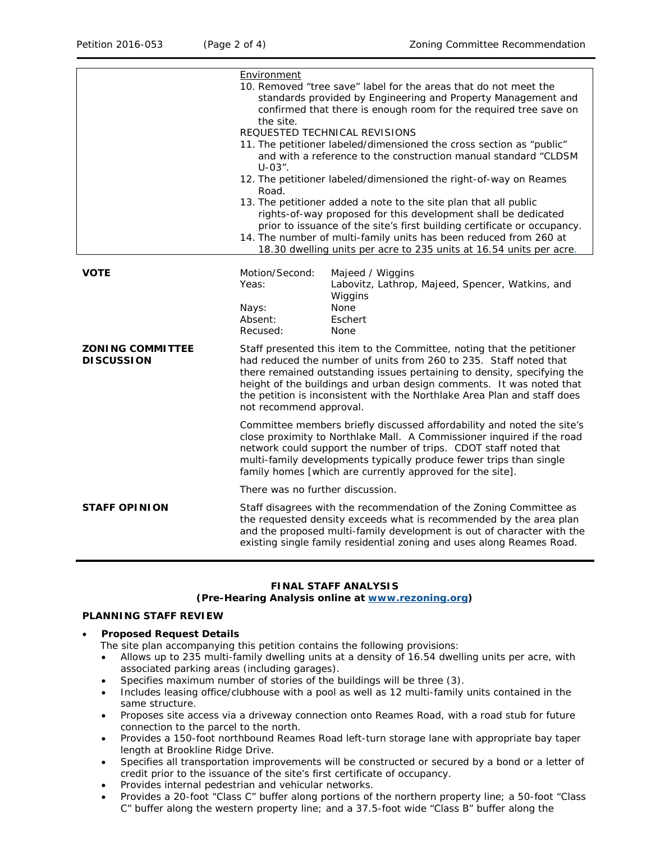|                                              | Environment<br>10. Removed "tree save" label for the areas that do not meet the<br>standards provided by Engineering and Property Management and<br>confirmed that there is enough room for the required tree save on<br>the site.<br>REQUESTED TECHNICAL REVISIONS<br>11. The petitioner labeled/dimensioned the cross section as "public"<br>and with a reference to the construction manual standard "CLDSM<br>$U-03"$ .<br>12. The petitioner labeled/dimensioned the right-of-way on Reames<br>Road.<br>13. The petitioner added a note to the site plan that all public<br>rights-of-way proposed for this development shall be dedicated<br>prior to issuance of the site's first building certificate or occupancy.<br>14. The number of multi-family units has been reduced from 260 at<br>18.30 dwelling units per acre to 235 units at 16.54 units per acre. |                                                                                                                                                                                                                                                                                             |  |
|----------------------------------------------|-------------------------------------------------------------------------------------------------------------------------------------------------------------------------------------------------------------------------------------------------------------------------------------------------------------------------------------------------------------------------------------------------------------------------------------------------------------------------------------------------------------------------------------------------------------------------------------------------------------------------------------------------------------------------------------------------------------------------------------------------------------------------------------------------------------------------------------------------------------------------|---------------------------------------------------------------------------------------------------------------------------------------------------------------------------------------------------------------------------------------------------------------------------------------------|--|
|                                              |                                                                                                                                                                                                                                                                                                                                                                                                                                                                                                                                                                                                                                                                                                                                                                                                                                                                         |                                                                                                                                                                                                                                                                                             |  |
|                                              |                                                                                                                                                                                                                                                                                                                                                                                                                                                                                                                                                                                                                                                                                                                                                                                                                                                                         |                                                                                                                                                                                                                                                                                             |  |
|                                              |                                                                                                                                                                                                                                                                                                                                                                                                                                                                                                                                                                                                                                                                                                                                                                                                                                                                         |                                                                                                                                                                                                                                                                                             |  |
|                                              |                                                                                                                                                                                                                                                                                                                                                                                                                                                                                                                                                                                                                                                                                                                                                                                                                                                                         |                                                                                                                                                                                                                                                                                             |  |
| <b>VOTE</b>                                  | Motion/Second:<br>Yeas:<br>Nays:<br>Absent:<br>Recused:                                                                                                                                                                                                                                                                                                                                                                                                                                                                                                                                                                                                                                                                                                                                                                                                                 | Majeed / Wiggins<br>Labovitz, Lathrop, Majeed, Spencer, Watkins, and<br>Wiggins<br>None<br>Eschert<br>None                                                                                                                                                                                  |  |
| <b>ZONING COMMITTEE</b><br><b>DISCUSSION</b> | Staff presented this item to the Committee, noting that the petitioner<br>had reduced the number of units from 260 to 235. Staff noted that<br>there remained outstanding issues pertaining to density, specifying the<br>height of the buildings and urban design comments. It was noted that<br>the petition is inconsistent with the Northlake Area Plan and staff does<br>not recommend approval.                                                                                                                                                                                                                                                                                                                                                                                                                                                                   |                                                                                                                                                                                                                                                                                             |  |
|                                              | Committee members briefly discussed affordability and noted the site's<br>close proximity to Northlake Mall. A Commissioner inquired if the road<br>network could support the number of trips. CDOT staff noted that<br>multi-family developments typically produce fewer trips than single<br>family homes [which are currently approved for the site].                                                                                                                                                                                                                                                                                                                                                                                                                                                                                                                |                                                                                                                                                                                                                                                                                             |  |
|                                              | There was no further discussion.                                                                                                                                                                                                                                                                                                                                                                                                                                                                                                                                                                                                                                                                                                                                                                                                                                        |                                                                                                                                                                                                                                                                                             |  |
| <b>STAFF OPINION</b>                         |                                                                                                                                                                                                                                                                                                                                                                                                                                                                                                                                                                                                                                                                                                                                                                                                                                                                         | Staff disagrees with the recommendation of the Zoning Committee as<br>the requested density exceeds what is recommended by the area plan<br>and the proposed multi-family development is out of character with the<br>existing single family residential zoning and uses along Reames Road. |  |

# **FINAL STAFF ANALYSIS**

## **(Pre-Hearing Analysis online at [www.rezoning.org\)](http://www.rezoning.org/)**

# **PLANNING STAFF REVIEW**

#### • **Proposed Request Details**

- The site plan accompanying this petition contains the following provisions:
- Allows up to 235 multi-family dwelling units at a density of 16.54 dwelling units per acre, with associated parking areas (including garages).
- Specifies maximum number of stories of the buildings will be three (3).
- Includes leasing office/clubhouse with a pool as well as 12 multi-family units contained in the same structure.
- Proposes site access via a driveway connection onto Reames Road, with a road stub for future connection to the parcel to the north.
- Provides a 150-foot northbound Reames Road left-turn storage lane with appropriate bay taper length at Brookline Ridge Drive.
- Specifies all transportation improvements will be constructed or secured by a bond or a letter of credit prior to the issuance of the site's first certificate of occupancy.
- Provides internal pedestrian and vehicular networks.
- Provides a 20-foot "Class C" buffer along portions of the northern property line; a 50-foot "Class C" buffer along the western property line; and a 37.5-foot wide "Class B" buffer along the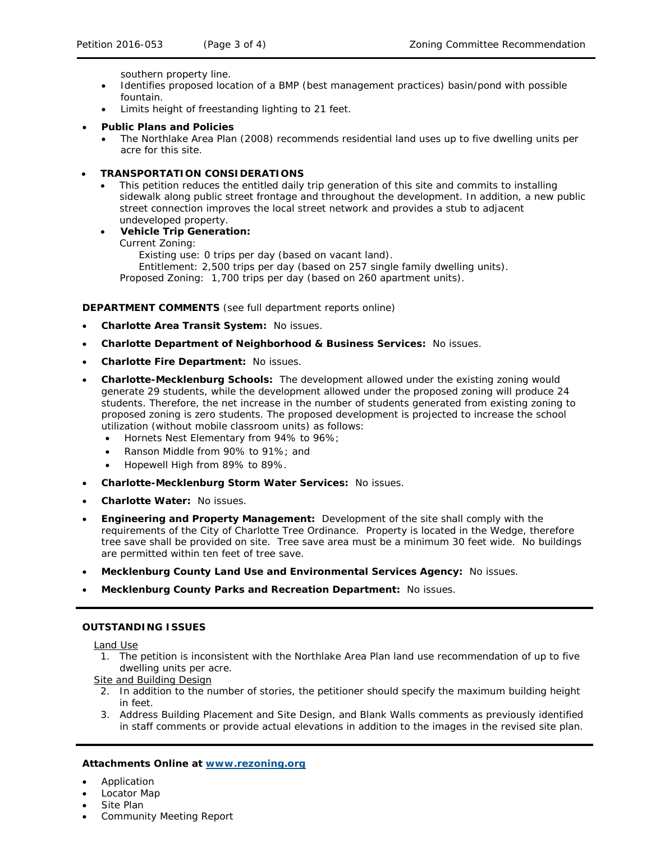southern property line.

- Identifies proposed location of a BMP (best management practices) basin/pond with possible fountain.
- Limits height of freestanding lighting to 21 feet.

## • **Public Plans and Policies**

• The *Northlake Area Plan* (2008) recommends residential land uses up to five dwelling units per acre for this site.

#### • **TRANSPORTATION CONSIDERATIONS**

- This petition reduces the entitled daily trip generation of this site and commits to installing sidewalk along public street frontage and throughout the development. In addition, a new public street connection improves the local street network and provides a stub to adjacent undeveloped property.
- **Vehicle Trip Generation:**

Current Zoning:

Existing use: 0 trips per day (based on vacant land).

Entitlement: 2,500 trips per day (based on 257 single family dwelling units). Proposed Zoning: 1,700 trips per day (based on 260 apartment units).

## **DEPARTMENT COMMENTS** (see full department reports online)

- **Charlotte Area Transit System:** No issues.
- **Charlotte Department of Neighborhood & Business Services:** No issues.
- **Charlotte Fire Department:** No issues.
- **Charlotte-Mecklenburg Schools:** The development allowed under the existing zoning would generate 29 students, while the development allowed under the proposed zoning will produce 24 students. Therefore, the net increase in the number of students generated from existing zoning to proposed zoning is zero students. The proposed development is projected to increase the school utilization (without mobile classroom units) as follows:

• Hornets Nest Elementary from 94% to 96%;

- Ranson Middle from 90% to 91%; and
- Hopewell High from 89% to 89%.
- **Charlotte-Mecklenburg Storm Water Services:** No issues.
- **Charlotte Water:** No issues.
- **Engineering and Property Management:** Development of the site shall comply with the requirements of the City of Charlotte Tree Ordinance. Property is located in the Wedge, therefore tree save shall be provided on site. Tree save area must be a minimum 30 feet wide. No buildings are permitted within ten feet of tree save.
- **Mecklenburg County Land Use and Environmental Services Agency:** No issues.
- **Mecklenburg County Parks and Recreation Department:** No issues.

#### **OUTSTANDING ISSUES**

Land Use

1. The petition is inconsistent with the Northlake Area Plan land use recommendation of up to five dwelling units per acre.

Site and Building Design

- 2. In addition to the number of stories, the petitioner should specify the maximum building height in feet.
- 3. Address Building Placement and Site Design, and Blank Walls comments as previously identified in staff comments or provide actual elevations in addition to the images in the revised site plan.

#### **Attachments Online at [www.rezoning.org](http://www.rezoning.org/)**

- Application
- Locator Map
- Site Plan
- Community Meeting Report